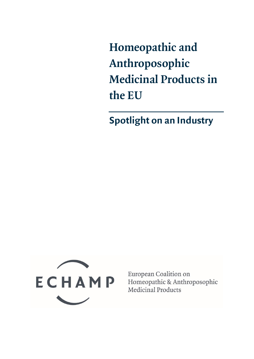**Homeopathic and Anthroposophic Medicinal Products in the EU**

**Spotlight on an Industry** 



European Coalition on Homeopathic & Anthroposophic **Medicinal Products**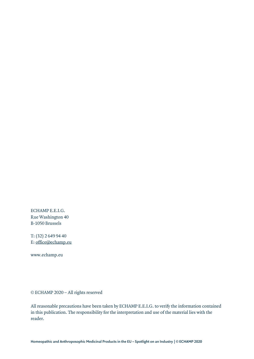ECHAMP E.E.I.G. Rue Washington 40 B-1050 Brussels

T: (32) 2 649 94 40 E[: office@echamp.eu](mailto:office@echamp.eu)

[www.echamp.eu](http://www.echamp.eu/)

© ECHAMP 2020 – All rights reserved

All reasonable precautions have been taken by ECHAMP E.E.I.G. to verify the information contained in this publication. The responsibility for the interpretation and use of the material lies with the reader.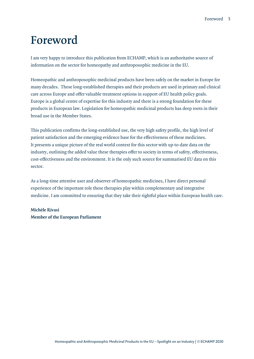# <span id="page-2-0"></span>**Foreword**

I am very happy to introduce this publication from ECHAMP, which is an authoritative source of information on the sector for homeopathy and anthroposophic medicine in the EU.

Homeopathic and anthroposophic medicinal products have been safely on the market in Europe for many decades. These long-established therapies and their products are used in primary and clinical care across Europe and offer valuable treatment options in support of EU health policy goals. Europe is a global centre of expertise for this industry and there is a strong foundation for these products in European law. Legislation for homeopathic medicinal products has deep roots in their broad use in the Member States.

This publication confirms the long-established use, the very high safety profile, the high level of patient satisfaction and the emerging evidence base for the effectiveness of these medicines. It presents a unique picture of the real world context for this sector with up-to-date data on the industry, outlining the added value these therapies offer to society in terms of safety, effectiveness, cost-effectiveness and the environment. It is the only such source for summarised EU data on this sector.

As a long-time attentive user and observer of homeopathic medicines, I have direct personal experience of the important role these therapies play within complementary and integrative medicine. I am committed to ensuring that they take their rightful place within European health care.

**Michèle Rivasi Member of the European Parliament**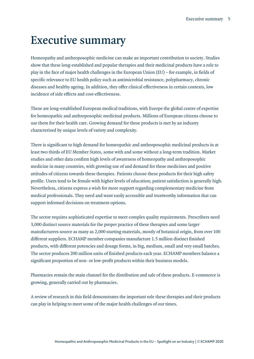# <span id="page-4-0"></span>**Executive summary**

Homeopathy and anthroposophic medicine can make an important contribution to society. Studies show that these long-established and popular therapies and their medicinal products have a role to play in the face of major health challenges in the European Union (EU) – for example, in fields of specific relevance to EU health policy such as antimicrobial resistance, polypharmacy, chronic diseases and healthy ageing. In addition, they offer clinical effectiveness in certain contexts, low incidence of side effects and cost-effectiveness.

These are long-established European medical traditions, with Europe the global centre of expertise for homeopathic and anthroposophic medicinal products. Millions of European citizens choose to use them for their health care. Growing demand for these products is met by an industry characterised by unique levels of variety and complexity.

There is significant to high demand for homeopathic and anthroposophic medicinal products in at least two thirds of EU Member States, some with and some without a long-term tradition. Market studies and other data confirm high levels of awareness of homeopathy and anthroposophic medicine in many countries, with growing use of and demand for these medicines and positive attitudes of citizens towards these therapies. Patients choose these products for their high safety profile. Users tend to be female with higher levels of education; patient satisfaction is generally high. Nevertheless, citizens express a wish for more support regarding complementary medicine from medical professionals. They need and want easily accessible and trustworthy information that can support informed decisions on treatment options.

The sector requires sophisticated expertise to meet complex quality requirements. Prescribers need 3,000 distinct source materials for the proper practice of these therapies and some larger manufacturers source as many as 2,000 starting materials, mostly of botanical origin, from over 100 different suppliers. ECHAMP member companies manufacture 1.5 million distinct finished products, with different potencies and dosage forms, in big, medium, small and very small batches. The sector produces 200 million units of finished products each year. ECHAMP members balance a significant proportion of non- or low-profit products within their business models.

Pharmacies remain the main channel for the distribution and sale of these products. E-commerce is growing, generally carried out by pharmacies.

A review of research in this field demonstrates the important role these therapies and their products can play in helping to meet some of the major health challenges of our times.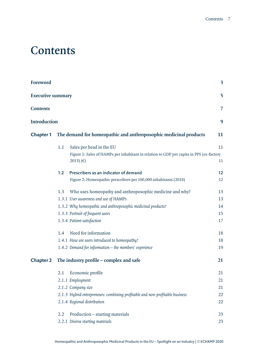# <span id="page-6-0"></span>**Contents**

| Foreword                 |                                                                  |                                                                                                                                     | 3                |
|--------------------------|------------------------------------------------------------------|-------------------------------------------------------------------------------------------------------------------------------------|------------------|
| <b>Executive summary</b> |                                                                  |                                                                                                                                     | 5                |
| <b>Contents</b>          |                                                                  |                                                                                                                                     | 7                |
| <b>Introduction</b>      |                                                                  |                                                                                                                                     | $\boldsymbol{9}$ |
| Chapter 1                | The demand for homeopathic and anthroposophic medicinal products |                                                                                                                                     |                  |
|                          | 1.1                                                              | Sales per head in the EU<br>Figure 1: Sales of HAMPs per inhabitant in relation to GDP per capita in PPS (ex-factory<br>2013) $(€)$ | 11<br>11         |
|                          | 1.2                                                              | Prescribers as an indicator of demand<br>Figure 2: Homeopathic prescribers per 100,000 inhabitants (2018)                           | 12<br>12         |
|                          | 1.3                                                              | Who uses homeopathy and anthroposophic medicine and why?                                                                            | 13               |
|                          |                                                                  | 1.3.1 User awareness and use of HAMPs                                                                                               | 13               |
|                          |                                                                  | 1.3.2 Why homeopathic and anthroposophic medicinal products?                                                                        | 14               |
|                          |                                                                  | 1.3.3 Portrait of frequent users                                                                                                    | 15               |
|                          |                                                                  | 1.3.4 Patient satisfaction                                                                                                          | 17               |
|                          | 1.4                                                              | Need for information                                                                                                                | 18               |
|                          |                                                                  | 1.4.1 How are users introduced to homeopathy?                                                                                       | 18               |
|                          |                                                                  | 1.4.2 Demand for information - the members' experience                                                                              | 19               |
| <b>Chapter 2</b>         |                                                                  | The industry profile – complex and safe                                                                                             | 21               |
|                          | 2.1                                                              | Economic profile                                                                                                                    | 21               |
|                          |                                                                  | 2.1.1 Employment                                                                                                                    | 21               |
|                          |                                                                  | 2.1.2 Company size                                                                                                                  | 21               |
|                          |                                                                  | 2.1.3 Hybrid entrepreneurs: combining profitable and non-profitable business                                                        | 22               |
|                          |                                                                  | 2.1.4 Regional distribution                                                                                                         | 22               |
|                          | 2.2                                                              | Production - starting materials                                                                                                     | 23               |
|                          |                                                                  | 2.2.1 Diverse starting materials                                                                                                    | 23               |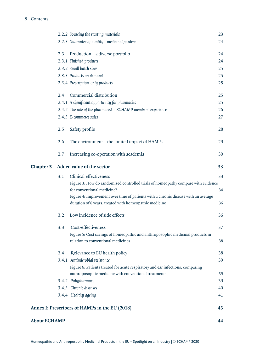#### 8 Contents

| <b>About ECHAMP</b> |                           |                                                                                                                      |          |  |
|---------------------|---------------------------|----------------------------------------------------------------------------------------------------------------------|----------|--|
|                     |                           | Annex I: Prescribers of HAMPs in the EU (2018)                                                                       | 43       |  |
|                     |                           | 3.4.4 Healthy ageing                                                                                                 | 41       |  |
|                     |                           | 3.4.3 Chronic diseases                                                                                               | 40       |  |
|                     |                           | 3.4.2 Polypharmacy                                                                                                   | 39       |  |
|                     |                           | anthroposophic medicine with conventional treatments                                                                 | 39       |  |
|                     |                           | Figure 6: Patients treated for acute respiratory and ear infections, comparing                                       |          |  |
|                     |                           | 3.4.1 Antimicrobial resistance                                                                                       | 39       |  |
|                     | 3.4                       | Relevance to EU health policy                                                                                        | 38       |  |
|                     |                           | Figure 5: Cost savings of homeopathic and anthroposophic medicinal products in<br>relation to conventional medicines | 38       |  |
|                     | 3.3                       | Cost-effectiveness                                                                                                   | 37       |  |
|                     | 3.2                       | Low incidence of side effects                                                                                        | 36       |  |
|                     |                           | duration of 8 years, treated with homeopathic medicine                                                               | 36       |  |
|                     |                           | for conventional medicine?<br>Figure 4: Improvement over time of patients with a chronic disease with an average     | 34       |  |
|                     |                           | Figure 3: How do randomised controlled trials of homeopathy compare with evidence                                    |          |  |
|                     | 3.1                       | Clinical effectiveness                                                                                               | 33       |  |
| <b>Chapter 3</b>    | Added value of the sector |                                                                                                                      |          |  |
|                     | 2.7                       | Increasing co-operation with academia                                                                                | 30<br>33 |  |
|                     | 2.6                       | The environment - the limited impact of HAMPs                                                                        | 29       |  |
|                     | 2.5                       | Safety profile                                                                                                       | 28       |  |
|                     |                           | 2.4.3 E-commerce sales                                                                                               | 27       |  |
|                     |                           | 2.4.2 The role of the pharmacist - ECHAMP members' experience                                                        | 26       |  |
|                     |                           | 2.4.1 A significant opportunity for pharmacies                                                                       | 25       |  |
|                     | 2.4                       | Commercial distribution                                                                                              | 25       |  |
|                     |                           | 2.3.4 Prescription-only products                                                                                     | 25       |  |
|                     |                           | 2.3.3 Products on demand                                                                                             | 25       |  |
|                     |                           | 2.3.2 Small batch sizes                                                                                              | 25       |  |
|                     |                           | 2.3.1 Finished products                                                                                              | 24       |  |
|                     | 2.3                       | Production - a diverse portfolio                                                                                     | 24       |  |
|                     |                           | 2.2.3 Guarantee of quality - medicinal gardens                                                                       | 24       |  |
|                     |                           | 2.2.2 Sourcing the starting materials                                                                                | 23       |  |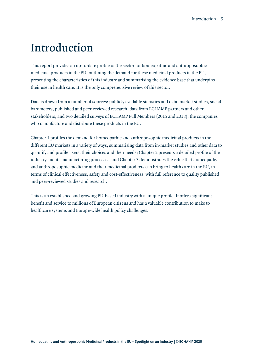# <span id="page-8-0"></span>**Introduction**

This report provides an up-to-date profile of the sector for homeopathic and anthroposophic medicinal products in the EU, outlining the demand for these medicinal products in the EU, presenting the characteristics of this industry and summarising the evidence base that underpins their use in health care. It is the only comprehensive review of this sector.

Data is drawn from a number of sources: publicly available statistics and data, market studies, social barometers, published and peer-reviewed research, data from ECHAMP partners and other stakeholders, and two detailed surveys of ECHAMP Full Members (2015 and 2018), the companies who manufacture and distribute these products in the EU.

Chapter 1 profiles the demand for homeopathic and anthroposophic medicinal products in the different EU markets in a variety of ways, summarising data from in-market studies and other data to quantify and profile users, their choices and their needs; Chapter 2 presents a detailed profile of the industry and its manufacturing processes; and Chapter 3 demonstrates the value that homeopathy and anthroposophic medicine and their medicinal products can bring to health care in the EU, in terms of clinical effectiveness, safety and cost-effectiveness, with full reference to quality published and peer-reviewed studies and research.

This is an established and growing EU-based industry with a unique profile. It offers significant benefit and service to millions of European citizens and has a valuable contribution to make to healthcare systems and Europe-wide health policy challenges.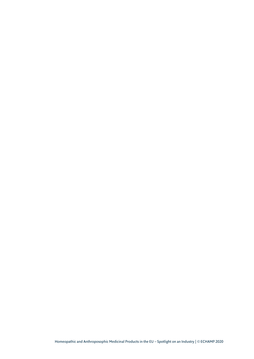Homeopathic and Anthroposophic Medicinal Products in the EU – Spotlight on an Industry | © ECHAMP 2020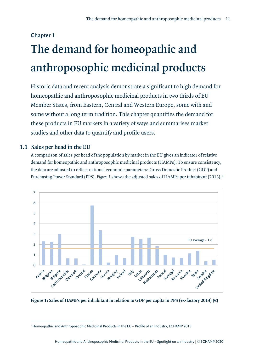# <span id="page-10-1"></span><span id="page-10-0"></span>**Chapter 1 The demand for homeopathic and anthroposophic medicinal products**

Historic data and recent analysis demonstrate a significant to high demand for homeopathic and anthroposophic medicinal products in two thirds of EU Member States, from Eastern, Central and Western Europe, some with and some without a long-term tradition. This chapter quantifies the demand for these products in EU markets in a variety of ways and summarises market studies and other data to quantify and profile users.

# <span id="page-10-2"></span>**1.1 Sales per head in the EU**

<u>.</u>

A comparison of sales per head of the population by market in the EU gives an indicator of relative demand for homeopathic and anthroposophic medicinal products (HAMPs). To ensure consistency, the data are adjusted to reflect national economic parameters: Gross Domestic Product (GDP) and Purchasing Power Standard (PPS). *Figure 1* shows the adjusted sales of HAMPs per inhabitant (2013). 1



<span id="page-10-3"></span>**Figure 1: Sales of HAMPs per inhabitant in relation to GDP per capita in PPS (ex-factory 2013) (€)**

<sup>1</sup> Homeopathic and Anthroposophic Medicinal Products in the EU – Profile of an Industry, ECHAMP 2015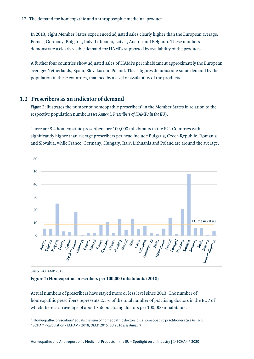In 2013, eight Member States experienced adjusted sales clearly higher than the European average: France, Germany, Bulgaria, Italy, Lithuania, Latvia, Austria and Belgium. These numbers demonstrate a clearly visible demand for HAMPs supported by availability of the products.

A further four countries show adjusted sales of HAMPs per inhabitant at approximately the European average: Netherlands, Spain, Slovakia and Poland. These figures demonstrate some demand by the population in these countries, matched by a level of availability of the products.

# <span id="page-11-0"></span>**1.2 Prescribers as an indicator of demand**

Figure 2 illustrates the number of homeopathic prescribers<sup>2</sup> in the Member States in relation to the respective population numbers (*see Annex I: Prescribers of HAMPs in the EU*).

There are 8.4 homeopathic prescribers per 100,000 inhabitants in the EU. Countries with significantly higher than average prescribers per head include Bulgaria, Czech Republic, Romania and Slovakia, while France, Germany, Hungary, Italy, Lithuania and Poland are around the average.



*Source: ECHAMP 2018*

 $\overline{a}$ 

## <span id="page-11-1"></span>**Figure 2: Homeopathic prescribers per 100,000 inhabitants (2018)**

Actual numbers of prescribers have stayed more or less level since 2013. The number of homeopathic prescribers represents 2.5% of the total number of practising doctors in the EU,<sup>3</sup> of which there is an average of about 356 practising doctors per 100,000 inhabitants.

<sup>2</sup> 'Homeopathic prescribers' equals the sum of homeopathic doctors plus homeopathic practitioners (*see Annex I)*

<sup>3</sup> ECHAMP calculation - *ECHAMP 2018, OECD 2015, EU 2016 (see Annex I)*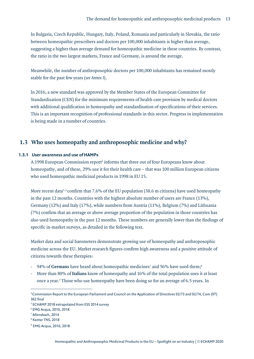In Bulgaria, Czech Republic, Hungary, Italy, Poland, Romania and particularly in Slovakia, the ratio between homeopathic prescribers and doctors per 100,000 inhabitants is higher than average, suggesting a higher than average demand for homeopathic medicine in these countries. By contrast, the ratio in the two largest markets, France and Germany, is around the average.

Meanwhile, the number of anthroposophic doctors per 100,000 inhabitants has remained mostly stable for the past few years (*see Annex I*).

In 2016, a new standard was approved by the Member States of the European Committee for Standardization (CEN) for the minimum requirements of health care provision by medical doctors with additional qualification in homeopathy and standardisation of specifications of their services. This is an important recognition of professional standards in this sector. Progress in implementation is being made in a number of countries.

# <span id="page-12-0"></span>**1.3 Who uses homeopathy and anthroposophic medicine and why?**

#### <span id="page-12-1"></span>**1.3.1 User awareness and use of HAMPs**

A 1998 European Commission report<sup>4</sup> informs that three out of four Europeans know about homeopathy, and of these, 29% use it for their health care – that was 100 million European citizens who used homeopathic medicinal products in 1998 in EU 15.

More recent data<sup>5,6</sup> confirm that 7.6% of the EU population (38.6 m citizens) have used homeopathy in the past 12 months. Countries with the highest absolute number of users are France (13%), Germany (12%) and Italy (17%), while numbers from Austria (11%), Belgium (7%) and Lithuania (7%) confirm that an average or above average proportion of the population in those countries has also used homeopathy in the past 12 months. These numbers are generally lower than the findings of specific in-market surveys, as detailed in the following text.

Market data and social barometers demonstrate growing use of homeopathy and anthroposophic medicine across the EU. Market research figures confirm high awareness and a positive attitude of citizens towards these therapies:

- 94% of Germans have heard about homeopathic medicines<sup>7</sup> and 56% have used them;<sup>8</sup>
- More than 80% of **Italians** know of homeopathy and 16% of the total population uses it at least once a year. <sup>9</sup> Those who use homeopathy have been doing so for an average of 6.5 years. In

<sup>4</sup>Commission Report to the European Parliament and Council on the Application of Directives 92/73 and 92/74, Com (97) 362 final

<sup>5</sup> ECHAMP 2018 extrapolated from ESS 2014 survey

<sup>6</sup> EMG Acqua, 2016, 2018

<sup>7</sup> Allensbach, 2014

<sup>8</sup> Kantar TNS, 2018

<sup>9</sup> EMG Acqua, 2016, 2018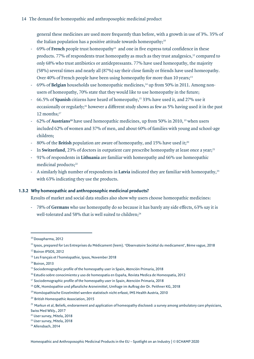#### 14 The demand for homeopathic and anthroposophic medicinal product

general these medicines are used more frequently than before, with a growth in use of 3%. 35% of the Italian population has a positive attitude towards homeopathy; $10$ 

- 69% of French people trust homeopathy<sup>11</sup> and one in five express total confidence in these products. 77% of respondents trust homeopathy as much as they trust analgesics,<sup>12</sup> compared to only 68% who trust antibiotics or antidepressants. 77% have used homeopathy, the majority (58%) several times and nearly all (87%) say their close family or friends have used homeopathy. Over 40% of French people have been using homeopathy for more than 10 years;<sup>13</sup>
- 69% of **Belgian** households use homeopathic medicines,<sup>14</sup> up from 50% in 2011. Among nonusers of homeopathy, 70% state that they would like to use homeopathy in the future;
- 66.5% of **Spanish** citizens have heard of homeopathy,<sup>15</sup> 33% have used it, and 27% use it occasionally or regularly; <sup>16</sup> however a different study shows as few as 5% having used it in the past 12 months; 17
- 62% of **Austrians<sup>18</sup>** have used homeopathic medicines, up from 50% in 2010, <sup>19</sup> when users included 62% of women and 37% of men, and about 60% of families with young and school-age children;
- 80% of the British population are aware of homeopathy, and 15% have used it;<sup>20</sup>
- In Switzerland, 23% of doctors in outpatient care prescribe homeopathy at least once a year;<sup>21</sup>
- 91% of respondents in **Lithuania** are familiar with homeopathy and 66% use homeopathic medicinal products; 22
- A similarly high number of respondents in **Latvia** indicated they are familiar with homeopathy,<sup>23</sup> with 63% indicating they use the products.

#### <span id="page-13-0"></span>**1.3.2 Why homeopathic and anthroposophic medicinal products?**

Results of market and social data studies also show why users choose homeopathic medicines:

- 78% of **Germans** who use homeopathy do so because it has barely any side effects, 63% say it is well-tolerated and 58% that is well suited to children;<sup>24</sup>

- <sup>20</sup> British Homeopathic Association, 2015
- <sup>21</sup> Markun et al, Beliefs, endorsement and application of homeopathy disclosed: a survey among ambulatory care physicians, Swiss Med Wkly., 2017

<sup>&</sup>lt;sup>10</sup>Doxapharma, 2012

<sup>11</sup> Ipsos, prepared for Les Entreprises du Médicament (leem). 'Observatoire Sociétal du medicament', 8ème vague, 2018

<sup>&</sup>lt;sup>12</sup> Boiron IPSOS, 2012

<sup>13</sup> Les Français et l'homéopathie, Ipsos, November 2018

<sup>&</sup>lt;sup>14</sup> Boiron, 2013

<sup>15</sup> Sociodemographic profile of the homeopathy user in Spain, Atención Primaria, 2018

 $16$  Estudio sobre conocimiento y uso de homeopatía en España, Revista Medica de Homeopatía, 2012

 $17$  Sociodemographic profile of the homeopathy user in Spain, Atención Primaria, 2018

<sup>&</sup>lt;sup>18</sup> GfK, Homöopathie und pflanzliche Arzneimittel, Umfrage im Auftrag der Dr. Peithner KG, 2018

<sup>19</sup>Homöopathische Einzelmittel werden statistisch nicht erfasst, IMS Health Austria, 2010

<sup>22</sup> User survey, Mitela, 2018

<sup>23</sup> User survey, Mitela, 2018

<sup>&</sup>lt;sup>24</sup> Allensbach, 2014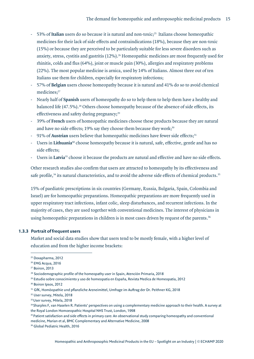- 53% of **Italian** users do so because it is natural and non-toxic;<sup>25</sup> Italians choose homeopathic medicines for their lack of side effects and contraindications (18%), because they are non-toxic (15%) or because they are perceived to be particularly suitable for less severe disorders such as anxiety, stress, cystitis and gastritis (12%).<sup>26</sup> Homeopathic medicines are most frequently used for rhinitis, colds and flus (64%), joint or muscle pain (30%), allergies and respiratory problems (22%). The most popular medicine is arnica, used by 14% of Italians. Almost three out of ten Italians use them for children, especially for respiratory infections;
- 57% of **Belgian** users choose homeopathy because it is natural and 41% do so to avoid chemical medicines; 27
- Nearly half of **Spanish** users of homeopathy do so to help them to help them have a healthy and balanced life (47.5%).<sup>28</sup> Others choose homeopathy because of the absence of side effects, its effectiveness and safety during pregnancy;<sup>29</sup>
- 39% of **French** users of homeopathic medicines choose these products because they are natural and have no side effects; 19% say they choose them because they work; $^{30}$
- 91% of Austrian users believe that homeopathic medicines have fewer side effects;<sup>31</sup>
- Users in **Lithuania<sup>32</sup>** choose homeopathy because it is natural, safe, effective, gentle and has no side effects;
- Users in **Latvia**<sup>33</sup> choose it because the products are natural and effective and have no side effects.

Other research studies also confirm that users are attracted to homeopathy by its effectiveness and safe profile,<sup>34</sup> its natural characteristics, and to avoid the adverse side effects of chemical products.<sup>35</sup>

15% of paediatric prescriptions in six countries (Germany, Russia, Bulgaria, Spain, Colombia and Israel) are for homeopathic preparations. Homeopathic preparations are more frequently used in upper respiratory tract infections, infant colic, sleep disturbances, and recurrent infections. In the majority of cases, they are used together with conventional medicines. The interest of physicians in using homeopathic preparations in children is in most cases driven by request of the parents.<sup>36</sup>

## <span id="page-14-0"></span>**1.3.3 Portrait of frequent users**

Market and social data studies show that users tend to be mostly female, with a higher level of education and from the higher income brackets:

 $\overline{a}$ 

<sup>33</sup> User survey, Mitela, 2018

<sup>35</sup> Patient satisfaction and side effects in primary care: An observational study comparing homeopathy and conventional medicine, Marian et al, BMC Complementary and Alternative Medicine, 2008

<sup>25</sup> Doxapharma, 2012

<sup>&</sup>lt;sup>26</sup> EMG Acqua, 2016

<sup>27</sup> Boiron, 2013

<sup>&</sup>lt;sup>28</sup> Sociodemographic profile of the homeopathy user in Spain, Atención Primaria, 2018

<sup>29</sup> Estudio sobre conocimiento y uso de homeopatía en España, Revista Medica de Homeopatía, 2012

<sup>&</sup>lt;sup>30</sup> Boiron Ipsos, 2012

<sup>&</sup>lt;sup>31</sup> GfK, Homöopathie und pflanzliche Arzneimittel, Umfrage im Auftrag der Dr. Peithner KG, 2018

<sup>32</sup> User survey, Mitela, 2018

<sup>&</sup>lt;sup>34</sup> Sharples F, van Haselen R. Patients' perspectives on using a complementary medicine approach to their health. A survey at the Royal London Homoeopathic Hospital NHS Trust, London, 1998

<sup>&</sup>lt;sup>36</sup> Global Pediatric Health, 2016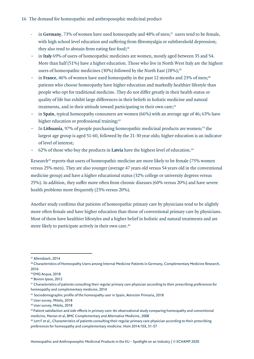#### <span id="page-15-0"></span>16 The demand for homeopathic and anthroposophic medicinal product

- in Germany, 73% of women have used homeopathy and 48% of men;<sup>37</sup> users tend to be female, with high school level education and suffering from fibromyalgia or subthreshold depression; they also tend to abstain from eating fast food;<sup>38</sup>
- in **Italy** 69% of users of homeopathic medicines are women, mostly aged between 35 and 54. More than half (51%) have a higher education. Those who live in North West Italy are the highest users of homeopathic medicines (30%) followed by the North East (28%);<sup>39</sup>
- in **France**, 46% of women have used homeopathy in the past 12 months and 23% of men;<sup>40</sup> patients who choose homeopathy have higher education and markedly healthier lifestyle than people who opt for traditional medicine. They do not differ greatly in their health status or quality of life but exhibit large differences in their beliefs in holistic medicine and natural treatments, and in their attitude toward participating to their own care;<sup>41</sup>
- in **Spain**, typical homeopathy consumers are women (66%) with an average age of 46; 63% have higher education or professional training;<sup>42</sup>
- In Lithuania, 97% of people purchasing homeopathic medicinal products are women;<sup>43</sup> the largest age group is aged 51-60, followed by the 21-30 year olds; higher education is an indicator of level of interest;
- 62% of those who buy the products in **Latvia** have the highest level of education.<sup>44</sup>

Research<sup>45</sup> reports that users of homeopathic medicine are more likely to be female (75% women versus 25% men). They are also younger (average 47 years old versus 54 years old in the conventional medicine group) and have a higher educational status (32% college or university degrees versus 25%). In addition, they suffer more often from chronic diseases (60% versus 20%) and have severe health problems more frequently (23% versus 20%).

Another study confirms that patients of homeopathic primary care by physicians tend to be slightly more often female and have higher education than those of conventional primary care by physicians. Most of them have healthier lifestyles and a higher belief in holistic and natural treatments and are more likely to participate actively in their own care.<sup>46</sup>

<sup>&</sup>lt;sup>37</sup> Allensbach, 2014

<sup>&</sup>lt;sup>38</sup> Characteristics of Homeopathy Users among Internal Medicine Patients in Germany, Complementary Medicine Research, 2016

<sup>39</sup> EMG Acqua, 2018

<sup>40</sup> Boiron Ipsos, 2012

<sup>&</sup>lt;sup>41</sup> Characteristics of patients consulting their regular primary care physician according to their prescribing preferences for homeopathy and complementary medicine, 2014

<sup>42</sup> Sociodemographic profile of the homeopathy user in Spain, Atención Primaria, 2018

<sup>43</sup> User survey, Mitela, 2018

<sup>44</sup> User survey, Mitela, 2018

<sup>45</sup> Patient satisfaction and side effects in primary care: An observational study comparing homeopathy and conventional medicine, Marian et al, BMC Complementary and Alternative Medicine, 2008

<sup>46</sup> Lert F et al., Characteristics of patients consulting their regular primary care physician according to their prescribing preferences for homeopathy and complementary medicine. Hom 2014:103, 51-57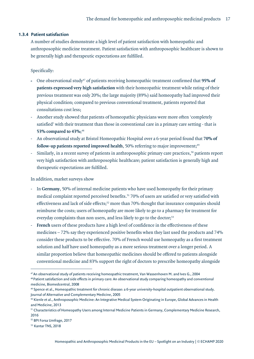#### **1.3.4 Patient satisfaction**

A number of studies demonstrate a high level of patient satisfaction with homeopathic and anthroposophic medicine treatment. Patient satisfaction with anthroposophic healthcare is shown to be generally high and therapeutic expectations are fulfilled.

Specifically:

- One observational study<sup>47</sup> of patients receiving homeopathic treatment confirmed that 95% of **patients expressed very high satisfaction** with their homeopathic treatment while rating of their previous treatment was only 20%; the large majority (89%) said homeopathy had improved their physical condition; compared to previous conventional treatment, patients reported that consultations cost less;
- Another study showed that patients of homeopathic physicians were more often 'completely satisfied' with their treatment than those in conventional care in a primary care setting - that is **53% compared to 43%**; 48
- An observational study at Bristol Homeopathic Hospital over a 6-year period found that **70% of**  follow-up patients reported improved health, 50% referring to major improvement;<sup>49</sup>
- Similarly, in a recent survey of patients in anthroposophic primary care practices,<sup>50</sup> patients report very high satisfaction with anthroposophic healthcare; patient satisfaction is generally high and therapeutic expectations are fulfilled.

In addition, market surveys show

- In **Germany**, 50% of internal medicine patients who have used homeopathy for their primary medical complaint reported perceived benefits.<sup>51</sup> 70% of users are satisfied or very satisfied with effectiveness and lack of side effects;<sup>52</sup> more than 70% thought that insurance companies should reimburse the costs; users of homeopathy are more likely to go to a pharmacy for treatment for everyday complaints than non users, and less likely to go to the doctor;<sup>53</sup>
- French users of these products have a high level of confidence in the effectiveness of these medicines – 72% say they experienced positive benefits when they last used the products and 74% consider these products to be effective. 70% of French would use homeopathy as a first treatment solution and half have used homeopathy as a more serious treatment over a longer period. A similar proportion believe that homeopathic medicines should be offered to patients alongside conventional medicine and 83% support the right of doctors to prescribe homeopathy alongside

<u>.</u>

<sup>47</sup>An observational study of patients receiving homeopathic treatment, Van Wassenhoven M. and Ives G., 2004 <sup>48</sup>Patient satisfaction and side effects in primary care: An observational study comparing homeopathy and conventional medicine, Biomedcentral, 2008

<sup>49</sup> Spence et al., Homeopathic treatment for chronic disease: a 6-year university-hospital outpatient observational study. Journal of Alternative and Complementary Medicine, 2005

<sup>50</sup> Kienle et al., Anthroposophic Medicine: An Integrative Medical System Originating in Europe, Global Advances in Health and Medicine, 2013

<sup>&</sup>lt;sup>51</sup> Characteristics of Homeopathy Users among Internal Medicine Patients in Germany, Complementary Medicine Research, 2016

<sup>52</sup> BPI Forsa Umfrage, 2017

<sup>53</sup> Kantar TNS, 2018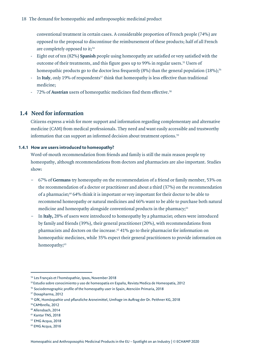conventional treatment in certain cases. A considerable proportion of French people (74%) are opposed to the proposal to discontinue the reimbursement of these products; half of all French are completely opposed to it; 54

- Eight out of ten (82%) **Spanish** people using homeopathy are satisfied or very satisfied with the outcome of their treatments, and this figure goes up to 99% in regular users.<sup>55</sup> Users of homeopathic products go to the doctor less frequently (8%) than the general population (18%); $^{\rm{56}}$
- In Italy, only 19% of respondents<sup>57</sup> think that homeopathy is less effective than traditional medicine;
- 72% of **Austrian** users of homeopathic medicines find them effective.<sup>58</sup>

# <span id="page-17-0"></span>**1.4 Need for information**

Citizens express a wish for more support and information regarding complementary and alternative medicine (CAM) from medical professionals. They need and want easily accessible and trustworthy information that can support an informed decision about treatment options.<sup>59</sup>

# <span id="page-17-1"></span>**1.4.1 How are users introduced to homeopathy?**

Word-of-mouth recommendation from friends and family is still the main reason people try homeopathy, although recommendations from doctors and pharmacists are also important. Studies show:

- 67% of **Germans** try homeopathy on the recommendation of a friend or family member, 53% on the recommendation of a doctor or practitioner and about a third (37%) on the recommendation of a pharmacist; <sup>60</sup> 64% think it is important or very important for their doctor to be able to recommend homeopathy or natural medicines and 66% want to be able to purchase both natural medicine and homeopathy alongside conventional products in the pharmacy;<sup>61</sup>
- In **Italy,** 28% of users were introduced to homeopathy by a pharmacist; others were introduced by family and friends (39%), their general practitioner (20%), with recommendations from pharmacists and doctors on the increase. <sup>62</sup> 41% go to their pharmacist for information on homeopathic medicines, while 35% expect their general practitioners to provide information on homeopathy; 63

<sup>54</sup> Les Français et l'homéopathie, Ipsos, November 2018

<sup>55</sup> Estudio sobre conocimiento y uso de homeopatía en España, Revista Medica de Homeopatía, 2012

<sup>56</sup> Sociodemographic profile of the homeopathy user in Spain, Atención Primaria, 2018

<sup>57</sup> Doxapharma, 2012

<sup>58</sup> GfK, Homöopathie und pflanzliche Arzneimittel, Umfrage im Auftrag der Dr. Peithner KG, 2018

<sup>59</sup>CAMbrella, 2012

<sup>&</sup>lt;sup>60</sup> Allensbach, 2014

<sup>&</sup>lt;sup>61</sup> Kantar TNS, 2018

<sup>62</sup> EMG Acqua, 2018

<sup>63</sup> EMG Acqua, 2016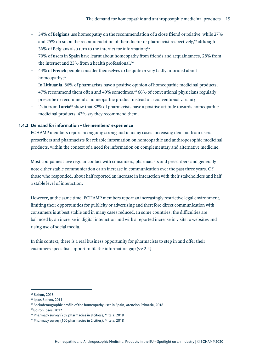- 34% of **Belgians** use homeopathy on the recommendation of a close friend or relative, while 27% and 25% do so on the recommendation of their doctor or pharmacist respectively,<sup>64</sup> although 36% of Belgians also turn to the internet for information;<sup>65</sup>
- 70% of users in **Spain** have learnt about homeopathy from friends and acquaintances, 28% from the internet and 23% from a health professional;<sup>66</sup>
- 44% of **French** people consider themselves to be quite or very badly informed about homeopathy; 67
- In **Lithuania**, 86% of pharmacists have a positive opinion of homeopathic medicinal products; 47% recommend them often and 49% sometimes.<sup>68</sup> 66% of conventional physicians regularly prescribe or recommend a homeopathic product instead of a conventional variant;
- Data from **Latvia**<sup>69</sup> show that 82% of pharmacists have a positive attitude towards homeopathic medicinal products; 43% say they recommend them.

#### <span id="page-18-0"></span>**1.4.2 Demand for information – the members' experience**

ECHAMP members report an ongoing strong and in many cases increasing demand from users, prescribers and pharmacists for reliable information on homeopathic and anthroposophic medicinal products, within the context of a need for information on complementary and alternative medicine.

Most companies have regular contact with consumers, pharmacists and prescribers and generally note either stable communication or an increase in communication over the past three years. Of those who responded, about half reported an increase in interaction with their stakeholders and half a stable level of interaction.

However, at the same time, ECHAMP members report an increasingly restrictive legal environment, limiting their opportunities for publicity or advertising and therefore direct communication with consumers is at best stable and in many cases reduced. In some countries, the difficulties are balanced by an increase in digital interaction and with a reported increase in visits to websites and rising use of social media.

In this context, there is a real business opportunity for pharmacists to step in and offer their customers specialist support to fill the information gap *(see 2.4).*

<u>.</u>

<sup>&</sup>lt;sup>64</sup> Boiron, 2013

<sup>&</sup>lt;sup>65</sup> Ipsos Boiron, 2011

<sup>66</sup> Sociodemographic profile of the homeopathy user in Spain, Atención Primaria, 2018

<sup>67</sup>Boiron Ipsos, 2012

<sup>&</sup>lt;sup>68</sup> Pharmacy survey (269 pharmacies in 8 cities), Mitela, 2018

<sup>69</sup> Pharmacy survey (100 pharmacies in 2 cities), Mitela, 2018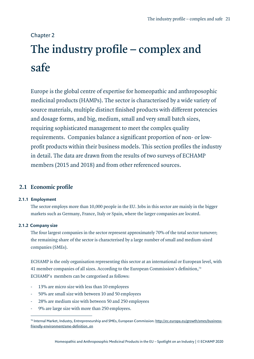# <span id="page-20-4"></span><span id="page-20-0"></span>Chapter 2 **The industry profile – complex and safe**

Europe is the global centre of expertise for homeopathic and anthroposophic medicinal products (HAMPs). The sector is characterised by a wide variety of source materials, multiple distinct finished products with different potencies and dosage forms, and big, medium, small and very small batch sizes, requiring sophisticated management to meet the complex quality requirements. Companies balance a significant proportion of non- or lowprofit products within their business models. This section profiles the industry in detail. The data are drawn from the results of two surveys of ECHAMP members (2015 and 2018) and from other referenced sources.

# <span id="page-20-1"></span>**2.1 Economic profile**

## <span id="page-20-2"></span>**2.1.1 Employment**

The sector employs more than 10,000 people in the EU. Jobs in this sector are mainly in the bigger markets such as Germany, France, Italy or Spain, where the larger companies are located.

# <span id="page-20-3"></span>**2.1.2 Company size**

<u>.</u>

The four largest companies in the sector represent approximately 70% of the total sector turnover; the remaining share of the sector is characterised by a large number of small and medium-sized companies (SMEs).

ECHAMP is the only organisation representing this sector at an international or European level, with 41 member companies of all sizes. According to the European Commission's definition,<sup>70</sup> ECHAMP's members can be categorised as follows:

- 13% are micro size with less than 10 employees
- 50% are small size with between 10 and 50 employees
- 28% are medium size with between 50 and 250 employees
- 9% are large size with more than 250 employees.

<sup>&</sup>lt;sup>70</sup> Internal Market, Industry, Entrepreneurship and SMEs, European Commission[: http://ec.europa.eu/growth/smes/business](http://ec.europa.eu/growth/smes/business-friendly-environment/sme-definition_en)[friendly-environment/sme-definition\\_en](http://ec.europa.eu/growth/smes/business-friendly-environment/sme-definition_en)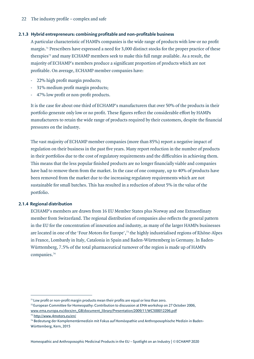#### <span id="page-21-1"></span>22 The industry profile – complex and safe

#### **2.1.3 Hybrid entrepreneurs: combining profitable and non-profitable business**

A particular characteristic of HAMPs companies is the wide range of products with low-or no profit margin.<sup>71</sup> Prescribers have expressed a need for 3,000 distinct stocks for the proper practice of these therapies<sup>72</sup> and many ECHAMP members seek to make this full range available. As a result, the majority of ECHAMP's members produce a significant proportion of products which are not profitable. On average, ECHAMP member companies have:

- 22% high profit margin products;
- 31% medium profit margin products;
- 47% low profit or non-profit products.

It is the case for about one third of ECHAMP's manufacturers that over 50% of the products in their portfolio generate only low or no profit. These figures reflect the considerable effort by HAMPs manufacturers to retain the wide range of products required by their customers, despite the financial pressures on the industry.

The vast majority of ECHAMP member companies (more than 85%) report a negative impact of regulation on their business in the past five years. Many report reduction in the number of products in their portfolios due to the cost of regulatory requirements and the difficulties in achieving them. This means that the less popular finished products are no longer financially viable and companies have had to remove them from the market. In the case of one company, up to 40% of products have been removed from the market due to the increasing regulatory requirements which are not sustainable for small batches. This has resulted in a reduction of about 5% in the value of the portfolio.

## <span id="page-21-0"></span>**2.1.4 Regional distribution**

ECHAMP's members are drawn from 16 EU Member States plus Norway and one Extraordinary member from Switzerland. The regional distribution of companies also reflects the general pattern in the EU for the concentration of innovation and industry, as many of the larger HAMPs businesses are located in one of the 'Four Motors for Europe',<sup>73</sup> the highly industrialised regions of Rhône-Alpes i[n France,](https://en.wikipedia.org/wiki/France) Lombardy in [Italy,](https://en.wikipedia.org/wiki/Italy) Catalonia in Spain and Baden-Württemberg in [Germany.](https://en.wikipedia.org/wiki/Germany) In Baden-Württemberg, 7.5% of the total pharmaceutical turnover of the region is made up of HAMPs companies.<sup>74</sup>

<u>.</u>

 $71$  Low profit or non-profit margin products mean their profits are equal or less than zero.

 $72$  European Committee for Homeopathy: Contribution to discussion at EMA workshop on 27 October 2006, [www.ema.europa.eu/docs/en\\_GB/document\\_library/Presentation/2009/11/WC500012296.pdf](http://www.ema.europa.eu/docs/en_GB/document_library/Presentation/2009/11/WC500012296.pdf)

<sup>73</sup> <http://www.4motors.eu/en/>

<sup>74</sup> Bedeutung der Komplementärmedizin mit Fokus auf Homöopathie und Anthroposophische Medizin in Baden-Württemberg, Kern, 2015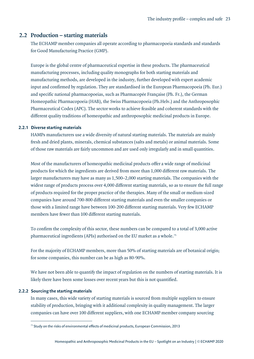# **2.2 Production – starting materials**

The ECHAMP member companies all operate according to pharmacopoeia standards and standards for Good Manufacturing Practice (GMP).

Europe is the global centre of pharmaceutical expertise in these products. The pharmaceutical manufacturing processes, including quality monographs for both starting materials and manufacturing methods, are developed in the industry, further developed with expert academic input and confirmed by regulation. They are standardised in the European Pharmacopoeia (Ph. Eur.) and specific national pharmacopoeias, such as Pharmacopée Française (Ph. Fr.), the German Homeopathic Pharmacopoeia (HAB), the Swiss Pharmacopoeia (Ph.Helv.) and the Anthroposophic Pharmaceutical Codex (APC). The sector works to achieve feasible and coherent standards with the different quality traditions of homeopathic and anthroposophic medicinal products in Europe.

#### <span id="page-22-0"></span>**2.2.1 Diverse starting materials**

HAMPs manufacturers use a wide diversity of natural starting materials. The materials are mainly fresh and dried plants, minerals, chemical substances (salts and metals) or animal materials. Some of those raw materials are fairly uncommon and are used only irregularly and in small quantities.

Most of the manufacturers of homeopathic medicinal products offer a wide range of medicinal products for which the ingredients are derived from more than 1,000 different raw materials. The larger manufacturers may have as many as 1,500–2,000 starting materials. The companies with the widest range of products process over 4,000 different starting materials, so as to ensure the full range of products required for the proper practice of the therapies. Many of the small or medium-sized companies have around 700-800 different starting materials and even the smaller companies or those with a limited range have between 100-200 different starting materials. Very few ECHAMP members have fewer than 100 different starting materials.

To confirm the complexity of this sector, these numbers can be compared to a total of 3,000 active pharmaceutical ingredients (APIs) authorised on the EU market as a whole.<sup>75</sup>

For the majority of ECHAMP members, more than 50% of starting materials are of botanical origin; for some companies, this number can be as high as 80-90%.

We have not been able to quantify the impact of regulation on the numbers of starting materials. It is likely there have been some losses over recent years but this is not quantified.

## <span id="page-22-1"></span>**2.2.2 Sourcing the starting materials**

<u>.</u>

In many cases, this wide variety of starting materials is sourced from multiple suppliers to ensure stability of production, bringing with it additional complexity in quality management. The larger companies can have over 100 different suppliers, with one ECHAMP member company sourcing

 $75$  Study on the risks of environmental effects of medicinal products, European Commission, 2013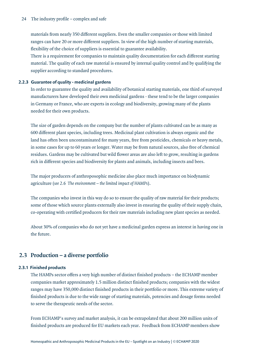#### 24 The industry profile – complex and safe

materials from nearly 350 different suppliers. Even the smaller companies or those with limited ranges can have 20 or more different suppliers. In view of the high number of starting materials, flexibility of the choice of suppliers is essential to guarantee availability.

There is a requirement for companies to maintain quality documentation for each different starting material. The quality of each raw material is ensured by internal quality control and by qualifying the supplier according to standard procedures.

#### <span id="page-23-0"></span>**2.2.3 Guarantee of quality - medicinal gardens**

In order to guarantee the quality and availability of botanical starting materials, one third of surveyed manufacturers have developed their own medicinal gardens - these tend to be the larger companies in Germany or France, who are experts in ecology and biodiversity, growing many of the plants needed for their own products.

The size of garden depends on the company but the number of plants cultivated can be as many as 600 different plant species, including trees. Medicinal plant cultivation is always organic and the land has often been uncontaminated for many years, free from pesticides, chemicals or heavy metals, in some cases for up to 60 years or longer. Water may be from natural sources, also free of chemical residues. Gardens may be cultivated but wild flower areas are also left to grow, resulting in gardens rich in different species and biodiversity for plants and animals, including insects and bees.

The major producers of anthroposophic medicine also place much importance on biodynamic agriculture (*see 2.6 The environment – the limited impact of HAMPs*).

The companies who invest in this way do so to ensure the quality of raw material for their products; some of those which source plants externally also invest in ensuring the quality of their supply chain, co-operating with certified producers for their raw materials including new plant species as needed.

About 30% of companies who do not yet have a medicinal garden express an interest in having one in the future.

# <span id="page-23-1"></span>**2.3 Production – a diverse portfolio**

#### <span id="page-23-2"></span>**2.3.1 Finished products**

The HAMPs sector offers a very high number of distinct finished products – the ECHAMP member companies market approximately 1.5 million distinct finished products; companies with the widest ranges may have 350,000 distinct finished products in their portfolio or more. This extreme variety of finished products is due to the wide range of starting materials, potencies and dosage forms needed to serve the therapeutic needs of the sector.

From ECHAMP's survey and market analysis, it can be extrapolated that about 200 million units of finished products are produced for EU markets each year. Feedback from ECHAMP members show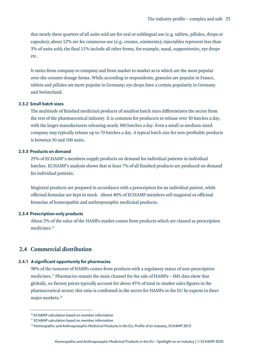that nearly three quarters of all units sold are for oral or sublingual use (e.g. tablets, pillules, drops or capsules); about 12% are for cutaneous use (e.g. creams, ointments); injectables represent less than 3% of units sold; the final 11% include all other forms, for example, nasal, suppositories, eye drops etc.

It varies from company to company and from market to market as to which are the most popular over-the-counter dosage forms. While according to respondents, granules are popular in France, tablets and pillules are more popular in Germany; eye drops have a certain popularity in Germany and Switzerland.

#### <span id="page-24-0"></span>**2.3.2 Small batch sizes**

The multitude of finished medicinal products of smallest batch sizes differentiates the sector from the rest of the pharmaceutical industry. It is common for producers to release over 30 batches a day, with the larger manufacturers releasing nearly 300 batches a day. Even a small or medium-sized company may typically release up to 70 batches a day. A typical batch size for non-profitable products is between 50 and 100 units.

# <span id="page-24-1"></span>**2.3.3 Products on demand**

25% of ECHAMP's members supply products on demand for individual patients in individual batches. ECHAMP's analysis shows that at least 7% of all finished products are produced on demand for individual patients.

Magistral products are prepared in accordance with a prescription for an individual patient, while officinal formulae are kept in stock. About 40% of ECHAMP members sell magistral or officinal formulae of homeopathic and anthroposophic medicinal products.

# <span id="page-24-2"></span>**2.3.4 Prescription-only products**

About 2% of the value of the HAMPs market comes from products which are classed as prescription medicines<sup>76</sup>

# <span id="page-24-3"></span>**2.4 Commercial distribution**

<u>.</u>

#### <span id="page-24-4"></span>**2.4.1 A significant opportunity for pharmacies**

98% of the turnover of HAMPs comes from products with a regulatory status of non-prescription medicines.<sup>77</sup> Pharmacies remain the main channel for the sale of HAMPs – IMS data show that globally, ex-factory prices typically account for about 45% of total in-market sales figures in the pharmaceutical sector; this ratio is confirmed in the sector for HAMPs in the EU by experts in three major markets.<sup>78</sup>

<sup>76</sup> ECHAMP calculation based on member information

<sup>77</sup> ECHAMP calculation based on member information

<sup>78</sup> Homeopathic and Anthroposophic Medicinal Products in the EU, Profile of an Industry, ECHAMP 2015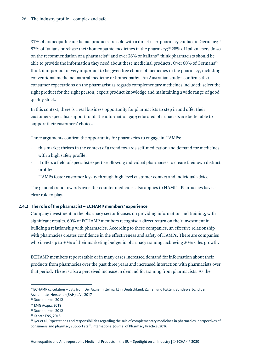81% of homeopathic medicinal products are sold with a direct user-pharmacy contact in Germany;<sup>79</sup> 87% of Italians purchase their homeopathic medicines in the pharmacy;<sup>80</sup> 28% of Italian users do so on the recommendation of a pharmacist<sup>81</sup> and over 26% of Italians<sup>82</sup> think pharmacists should be able to provide the information they need about these medicinal products. Over 60% of Germans<sup>83</sup> think it important or very important to be given free choice of medicines in the pharmacy, including conventional medicine, natural medicine or homeopathy. An Australian study<sup>84</sup> confirms that consumer expectations on the pharmacist as regards complementary medicines included: select the right product for the right person, expert product knowledge and maintaining a wide range of good quality stock.

In this context, there is a real business opportunity for pharmacists to step in and offer their customers specialist support to fill the information gap; educated pharmacists are better able to support their customers' choices.

Three arguments confirm the opportunity for pharmacies to engage in HAMPs:

- this market thrives in the context of a trend towards self-medication and demand for medicines with a high safety profile;
- it offers a field of specialist expertise allowing individual pharmacies to create their own distinct profile;
- HAMPs foster customer loyalty through high level customer contact and individual advice.

The general trend towards over-the-counter medicines also applies to HAMPs. Pharmacies have a clear role to play.

#### <span id="page-25-0"></span>**2.4.2 The role of the pharmacist – ECHAMP members' experience**

Company investment in the pharmacy sector focuses on providing information and training, with significant results. 60% of ECHAMP members recognise a direct return on their investment in building a relationship with pharmacies. According to these companies, an effective relationship with pharmacies creates confidence in the effectiveness and safety of HAMPs. There are companies who invest up to 30% of their marketing budget in pharmacy training, achieving 20% sales growth.

ECHAMP members report stable or in many cases increased demand for information about their products from pharmacies over the past three years and increased interaction with pharmacists over that period. There is also a perceived increase in demand for training from pharmacists. As the

<sup>79</sup> ECHAMP calculation – data from Der Arzneimittelmarkt in Deutschland, Zahlen und Fakten, Bundesverband der Arzneimittel Hersteller (BAH) e.V., 2017

<sup>80</sup> Doxapharma, 2012

<sup>81</sup> EMG Acqua, 2018

<sup>82</sup> Doxapharma, 2012

<sup>83</sup> Kantar TNS, 2018

<sup>&</sup>lt;sup>84</sup> Iyer et al, Expectations and responsibilities regarding the sale of complementary medicines in pharmacies: perspectives of consumers and pharmacy support staff, International Journal of Pharmacy Practice, 2016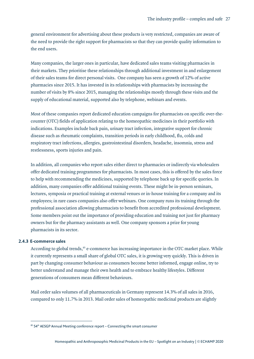general environment for advertising about these products is very restricted, companies are aware of the need to provide the right support for pharmacists so that they can provide quality information to the end users.

Many companies, the larger ones in particular, have dedicated sales teams visiting pharmacies in their markets. They prioritise these relationships through additional investment in and enlargement of their sales teams for direct personal visits. One company has seen a growth of 12% of active pharmacies since 2015. It has invested in its relationships with pharmacists by increasing the number of visits by 8% since 2015, managing the relationships mostly through these visits and the supply of educational material, supported also by telephone, webinars and events.

Most of these companies report dedicated education campaigns for pharmacists on specific over-thecounter (OTC) fields of application relating to the homeopathic medicines in their portfolio with indications. Examples include back pain, urinary tract infection, integrative support for chronic disease such as rheumatic complaints, transition periods in early childhood, flu, colds and respiratory tract infections, allergies, gastrointestinal disorders, headache, insomnia, stress and restlessness, sports injuries and pain.

In addition, all companies who report sales either direct to pharmacies or indirectly via wholesalers offer dedicated training programmes for pharmacists. In most cases, this is offered by the sales force to help with recommending the medicines, supported by telephone back up for specific queries. In addition, many companies offer additional training events. These might be in-person seminars, lectures, symposia or practical training at external venues or in-house training for a company and its employees; in rare cases companies also offer webinars. One company runs its training through the professional association allowing pharmacists to benefit from accredited professional development. Some members point out the importance of providing education and training not just for pharmacy owners but for the pharmacy assistants as well. One company sponsors a prize for young pharmacists in its sector.

## <span id="page-26-0"></span>**2.4.3 E-commerce sales**

<u>.</u>

According to global trends,<sup>85</sup> e-commerce has increasing importance in the OTC market place. While it currently represents a small share of global OTC sales, it is growing very quickly. This is driven in part by changing consumer behaviour as consumers become better informed, engage online, try to better understand and manage their own health and to embrace healthy lifestyles. Different generations of consumers mean different behaviours.

Mail order sales volumes of all pharmaceuticals in Germany represent 14.3% of all sales in 2016, compared to only 11.7% in 2013. Mail order sales of homeopathic medicinal products are slightly

<sup>85 54&</sup>lt;sup>th</sup> AESGP Annual Meeting conference report – Connecting the smart consumer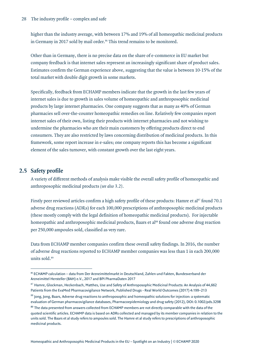higher than the industry average, with between 17% and 19% of all homeopathic medicinal products in Germany in 2017 sold by mail order.<sup>86</sup> This trend remains to be monitored.

Other than in Germany, there is no precise data on the share of e-commerce in EU market but company feedback is that internet sales represent an increasingly significant share of product sales. Estimates confirm the German experience above, suggesting that the value is between 10-15% of the total market with double digit growth in some markets.

Specifically, feedback from ECHAMP members indicate that the growth in the last few years of internet sales is due to growth in sales volume of homeopathic and anthroposophic medicinal products by large internet pharmacies. One company suggests that as many as 40% of German pharmacies sell over-the-counter homeopathic remedies on line. Relatively few companies report internet sales of their own, listing their products with internet pharmacies and not wishing to undermine the pharmacies who are their main customers by offering products direct to end consumers. They are also restricted by laws concerning distribution of medicinal products. In this framework, some report increase in e-sales; one company reports this has become a significant element of the sales turnover, with constant growth over the last eight years.

# <span id="page-27-0"></span>**2.5 Safety profile**

 $\overline{a}$ 

A variety of different methods of analysis make visible the overall safety profile of homeopathic and anthroposophic medicinal products *(see also 3.2)*.

Firstly peer reviewed articles confirm a high safety profile of these products: Hamre et al.  $87$  found 70.1 adverse drug reactions (ADRs) for each 100,000 prescriptions of anthroposophic medicinal products (these mostly comply with the legal definition of homeopathic medicinal products). For injectable homeopathic and anthroposophic medicinal products, Baars et al<sup>88</sup> found one adverse drug reaction per 250,000 ampoules sold, classified as very rare.

Data from ECHAMP member companies confirm these overall safety findings. In 2016, the number of adverse drug reactions reported to ECHAMP member companies was less than 1 in each 200,000 units sold. 89

<sup>86</sup> ECHAMP calculation – data from Der Arzneimittelmarkt in Deutschland, Zahlen und Fakten, Bundesverband der Arzneimittel Hersteller (BAH) e.V., 2017 and BPI PharmaDaten 2017

<sup>87</sup> Hamre, Glockman, Heckenbach, Matthes, Use and Safety of Anthroposophic Medicinal Products: An Analysis of 44,662 Patients from the EvaMed Pharmacovigilance Network, Published Drugs - Real World Outcomes (2017) 4:199–213

<sup>88</sup> Jong, Jong, Baars, Adverse drug reactions to anthroposophic and homeopathic solutions for injection: a systematic evaluation of German pharmacovigilance databases, Pharmacoepidemiology and drug safety (2012), DOI: 0.1002/pds.3298 <sup>89</sup> The data presented from answers collected from ECHAMP members are not directly comparable with the data of the quoted scientific articles. ECHAMP data is based on ADRs collected and managed by its member companies in relation to the units sold. The Baars et al study refers to ampoules sold. The Hamre et al study refers to prescriptions of anthroposophic medicinal products.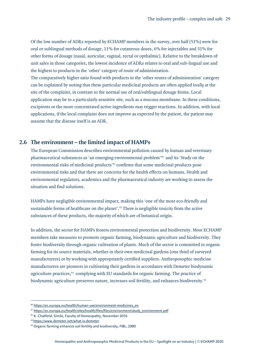Of the low number of ADRs reported by ECHAMP members in the survey, over half (51%) were for oral or sublingual methods of dosage, 11% for cutaneous doses, 6% for injectables and 31% for other forms of dosage (nasal, auricular, vaginal, rectal or opthalmic). Relative to the breakdown of unit sales in those categories, the lowest incidence of ADRs relates to oral and sub-lingual use and the highest to products in the 'other' category of route of administration.

The comparatively higher ratio found with products in the 'other routes of administration' category can be explained by noting that these particular medicinal products are often applied *locally* at the site of the complaint, in contrast to the normal use of oral/sublingual dosage forms. Local application may be to a particularly sensitive site, such as a mucous membrane. In these conditions, excipients or the more concentrated active ingredients may trigger reactions. In addition, with local applications, if the local complaint does not improve as expected by the patient, the patient may assume that the disease itself is an ADR.

# <span id="page-28-0"></span>**2.6 The environment – the limited impact of HAMPs**

The European Commission describes environmental pollution caused by human and veterinary pharmaceutical substances as 'an emerging environmental problem'<sup>90</sup> and its 'Study on the environmental risks of medicinal products'<sup>91</sup> confirms that some medicinal products pose environmental risks and that there are concerns for the health effects on humans. Health and environmental regulators, academics and the pharmaceutical industry are working to assess the situation and find solutions.

HAMPs have negligible environmental impact, making this 'one of the most eco-friendly and sustainable forms of healthcare on the planet'.<sup>92</sup> There is negligible toxicity from the active substances of these products, the majority of which are of botanical origin.

In addition, the sector for HAMPs fosters environmental protection and biodiversity. Most ECHAMP members take measures to promote organic farming, biodynamic agriculture and biodiversity. They foster biodiversity through organic cultivation of plants. Much of the sector is committed to organic farming for its source materials, whether in their own medicinal gardens (one third of surveyed manufacturers) or by working with appropriately certified suppliers. Anthroposophic medicine manufacturers are pioneers in cultivating their gardens in accordance with Demeter biodynamic agriculture practices,<sup>93</sup> complying with EU standards for organic farming. The practice of biodynamic agriculture preserves nature, increases soil fertility, and enhances biodiversity.<sup>94</sup>

<u>.</u>

<sup>90</sup> [https://ec.europa.eu/health/human-use/environment-medicines\\_en](https://ec.europa.eu/health/human-use/environment-medicines_en)

<sup>91</sup> [https://ec.europa.eu/health/sites/health/files/files/environment/study\\_environment.pdf](https://ec.europa.eu/health/sites/health/files/files/environment/study_environment.pdf)

<sup>92</sup> K. Chatfield, Simile, Faculty of Homeopathy, November 2016

<sup>93</sup> https://www.demeter.net/what-is-demeter

<sup>94</sup> Organic farming enhances soil fertility and biodiversity, FIBL, 2000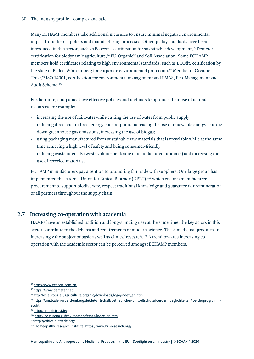#### 30 The industry profile – complex and safe

Many ECHAMP members take additional measures to ensure minimal negative environmental impact from their suppliers and manufacturing processes. Other quality standards have been introduced in this sector, such as Ecocert – certification for sustainable development,<sup>95</sup> Demeter – certification for biodynamic agriculture,<sup>96</sup> EU-Organic<sup>97</sup> and Soil Association. Some ECHAMP members hold certificates relating to high environmental standards, such as ECOfit: certification by the state of Baden-Württemberg for corporate environmental protection,<sup>98</sup> Member of Organic Trust,<sup>99</sup> ISO 14001, certification for environmental management and EMAS, Eco-Management and Audit Scheme.<sup>100</sup>

Furthermore, companies have effective policies and methods to optimise their use of natural resources, for example:

- increasing the use of rainwater while cutting the use of water from public supply;
- reducing direct and indirect energy consumption, increasing the use of renewable energy, cutting down greenhouse gas emissions, increasing the use of biogas;
- using packaging manufactured from sustainable raw materials that is recyclable while at the same time achieving a high level of safety and being consumer-friendly;
- reducing waste intensity (waste volume per tonne of manufactured products) and increasing the use of recycled materials.

ECHAMP manufacturers pay attention to promoting fair trade with suppliers. One large group has implemented the external Union for Ethical Biotrade (UEBT),<sup>101</sup> which ensures manufacturers' procurement to support biodiversity, respect traditional knowledge and guarantee fair remuneration of all partners throughout the supply chain.

# <span id="page-29-0"></span>**2.7 Increasing co-operation with academia**

HAMPs have an established tradition and long-standing use; at the same time, the key actors in this sector contribute to the debates and requirements of modern science. These medicinal products are increasingly the subject of basic as well as clinical research.<sup>102</sup> A trend towards increasing cooperation with the academic sector can be perceived amongst ECHAMP members.

<u>.</u>

<sup>95</sup> <http://www.ecocert.com/en/>

<sup>96</sup> [https://www.demeter.net](https://www.demeter.net/)

<sup>97</sup> [http://ec.europa.eu/agriculture/organic/downloads/logo/index\\_en.htm](http://ec.europa.eu/agriculture/organic/downloads/logo/index_en.htm)

<sup>98</sup> [https://um.baden-wuerttemberg.de/de/wirtschaft/betrieblicher-umweltschutz/foerdermoeglichkeiten/foerderprogramm](https://um.baden-wuerttemberg.de/de/wirtschaft/betrieblicher-umweltschutz/foerdermoeglichkeiten/foerderprogramm-ecofit/)[ecofit/](https://um.baden-wuerttemberg.de/de/wirtschaft/betrieblicher-umweltschutz/foerdermoeglichkeiten/foerderprogramm-ecofit/)

<sup>99</sup> <http://organictrust.ie/>

<sup>100</sup> [http://ec.europa.eu/environment/emas/index\\_en.htm](http://ec.europa.eu/environment/emas/index_en.htm)

<sup>101</sup> [http://ethicalbiotrade.org/](https://www.ethicalbiotrade.org/)

<sup>102</sup> Homeopathy Research Institute[, https://www.hri-research.org/](https://www.hri-research.org/)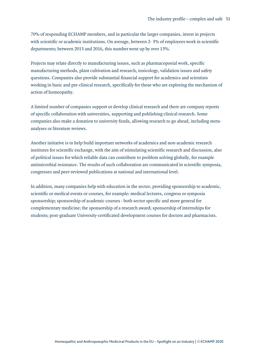70% of responding ECHAMP members, and in particular the larger companies, invest in projects with scientific or academic institutions. On average, between 2- 3% of employees work in scientific departments; between 2013 and 2016, this number went up by over 13%.

Projects may relate directly to manufacturing issues, such as pharmacopoeial work, specific manufacturing methods, plant cultivation and research, toxicology, validation issues and safety questions. Companies also provide substantial financial support for academics and scientists working in basic and pre-clinical research, specifically for those who are exploring the mechanism of action of homeopathy.

A limited number of companies support or develop clinical research and there are company reports of specific collaboration with universities, supporting and publishing clinical research. Some companies also make a donation to university funds, allowing research to go ahead, including metaanalyses or literature reviews.

Another initiative is to help build important networks of academics and non-academic research institutes for scientific exchange, with the aim of stimulating scientific research and discussion, also of political issues for which reliable data can contribute to problem solving globally, for example antimicrobial resistance. The results of such collaboration are communicated in scientific symposia, congresses and peer-reviewed publications at national and international level.

In addition, many companies help with education in the sector, providing sponsorship to academic, scientific or medical events or courses, for example: medical lectures, congress or symposia sponsorship; sponsorship of academic courses - both sector specific and more general for complementary medicine; the sponsorship of a research award; sponsorship of internships for students; post-graduate University-certificated development courses for doctors and pharmacists.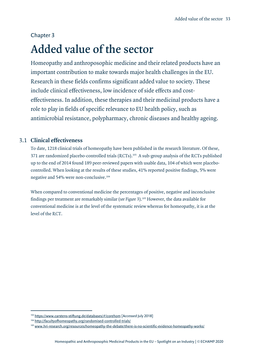# <span id="page-32-0"></span>Chapter 3

# **Added value of the sector**

Homeopathy and anthroposophic medicine and their related products have an important contribution to make towards major health challenges in the EU. Research in these fields confirms significant added value to society. These include clinical effectiveness, low incidence of side effects and costeffectiveness. In addition, these therapies and their medicinal products have a role to play in fields of specific relevance to EU health policy, such as antimicrobial resistance, polypharmacy, chronic diseases and healthy ageing.

# <span id="page-32-1"></span>3.1 **Clinical effectiveness**

To date, 1218 clinical trials of homeopathy have been published in the research literature. Of these, 371 are randomized placebo-controlled trials (RCTs). 103 A sub-group analysis of the RCTs published up to the end of 2014 found 189 peer-reviewed papers with usable data, 104 of which were placebocontrolled. When looking at the results of these studies, 41% reported positive findings, 5% were negative and 54% were non-conclusive. 104

When compared to conventional medicine the percentages of positive, negative and inconclusive findings per treatment are remarkably similar (*see Figure 3*). <sup>105</sup> However, the data available for conventional medicine is at the level of the systematic review whereas for homeopathy, it is at the level of the RCT.

<sup>103</sup> <https://www.carstens-stiftung.de/databases/#/corehom> [Accessed July 2018]

<sup>104</sup> <http://facultyofhomeopathy.org/randomised-controlled-trials/>

<sup>&</sup>lt;sup>105</sup> [www.hri-research.org/resources/homeopathy-the-debate/there-is-no-scientific-evidence-homeopathy-works/](http://www.hri-research.org/resources/homeopathy-the-debate/there-is-no-scientific-evidence-homeopathy-works/)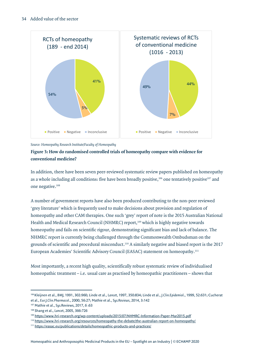

*Source: Homeopathy Research Institute/Faculty of Homeopathy*

# <span id="page-33-0"></span>**Figure 3: How do randomised controlled trials of homeopathy compare with evidence for conventional medicine?**

In addition, there have been seven peer-reviewed systematic review papers published on homeopathy as a whole including all conditions: five have been broadly positive,<sup>106</sup> one tentatively positive<sup>107</sup> and one negative. 108

A number of government reports have also been produced contributing to the non-peer reviewed 'grey literature' which is frequently used to make decisions about provision and regulation of homeopathy and other CAM therapies. One such 'grey' report of note is the 2015 Australian National Health and Medical Research Council (NHMRC) report,<sup>109</sup> which is highly negative towards homeopathy and fails on scientific rigour, demonstrating significant bias and lack of balance. The NHMRC report is currently being challenged through the Commonwealth Ombudsman on the grounds of scientific and procedural misconduct. <sup>110</sup> A similarly negative and biased report is the 2017 European Academies' Scientific Advisory Council (EASAC) statement on homeopathy.<sup>111</sup>

Most importantly, a recent high quality, scientifically robust systematic review of individualised homeopathic treatment – i.e. usual care as practised by homeopathic practitioners – shows that

<sup>106</sup>Kleijnen et al., *BMJ,* 1991, 302:960; Linde et al., *Lancet*, 1997, 350:834; Linde et al., *J.Clin.Epidemiol*., 1999, 52:631; Cucherat et al., *Eur.J.Clin.Pharmacol*., 2000, 56:27; Mathie et al., *Sys.Reviews*, 2014, 3:142

<sup>107</sup> Mathie et al., *Sys.*Reviews, 2017, 6 :63

<sup>108</sup> Shang et al., *Lancet*, 2005, 366:726

<sup>109</sup> <https://www.hri-research.org/wp-content/uploads/2015/07/NHMRC-Information-Paper-Mar2015.pdf>

<sup>110</sup> <https://www.hri-research.org/resources/homeopathy-the-debate/the-australian-report-on-homeopathy/>

<sup>111</sup> <https://easac.eu/publications/details/homeopathic-products-and-practices/>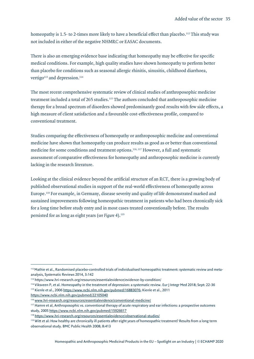homeopathy is 1.5- to 2-times more likely to have a beneficial effect than placebo.<sup>112</sup> This study was not included in either of the negative NHMRC or EASAC documents.

There is also an emerging evidence base indicating that homeopathy may be effective for specific medical conditions. For example, high quality studies have shown homeopathy to perform better than placebo for conditions such as seasonal allergic rhinitis, sinusitis, childhood diarrhoea, vertigo<sup>113</sup> and depression.<sup>114</sup>

The most recent comprehensive systematic review of clinical studies of anthroposophic medicine treatment included a total of 265 studies.<sup>115</sup> The authors concluded that anthroposophic medicine therapy for a broad spectrum of disorders showed predominantly good results with few side effects, a high measure of client satisfaction and a favourable cost-effectiveness profile, compared to conventional treatment.

Studies comparing the effectiveness of homeopathy or anthroposophic medicine and conventional medicine have shown that homeopathy can produce results as good as or better than conventional medicine for some conditions and treatment options. 116, <sup>117</sup> However, a full and systematic assessment of comparative effectiveness for homeopathy and anthroposophic medicine is currently lacking in the research literature.

Looking at the clinical evidence beyond the artificial structure of an RCT, there is a growing body of published observational studies in support of the real-world effectiveness of homeopathy across Europe. <sup>118</sup> For example, in Germany, disease severity and quality of life demonstrated marked and sustained improvements following homeopathic treatment in patients who had been chronically sick for a long time before study entry and in most cases treated conventionally before. The results persisted for as long as eight years (*see Figure 4*).<sup>119</sup>

<sup>&</sup>lt;sup>112</sup> Mathie et al., Randomised placebo-controlled trials of individualised homeopathic treatment: systematic review and metaanalysis, Systematic Reviews 2014, 3:142

<sup>113</sup> <https://www.hri-research.org/resources/essentialevidence/evidence-by-condition/>

<sup>114</sup> Viksveen P, et al. Homeopathy in the treatment of depression: a systematic review. Eur J Integr Med 2018; Sept: 22-36

<sup>115</sup> Kienle et al., 200[6 https://www.ncbi.nlm.nih.gov/pubmed/16883076;](https://www.ncbi.nlm.nih.gov/pubmed/16883076) Kienle et al., 2011

<https://www.ncbi.nlm.nih.gov/pubmed/22105040>

<sup>116</sup> [www.hri-research.org/resources/essentialevidence/conventional-medicine/](http://www.hri-research.org/resources/essentialevidence/conventional-medicine/)

<sup>&</sup>lt;sup>117</sup> Hamre et al, Anthroposophic vs. conventional therapy of acute respiratory and ear infections: a prospective outcomes study, 2005<https://www.ncbi.nlm.nih.gov/pubmed/15926617>

<sup>118</sup> <https://www.hri-research.org/resources/essentialevidence/observational-studies/>

<sup>119</sup> Witt et al: How healthy are chronically ill patients after eight years of homeopathic treatment? Results from a long term observational study. BMC Public Health 2008; 8:413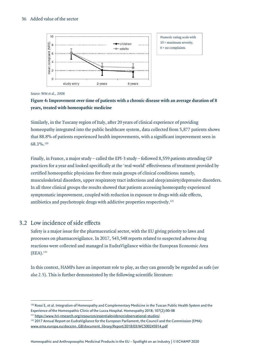

Numeric rating scale with 10 = maximum severity, 0 = no complaints.

*Source: Witt et al., 2008*

# <span id="page-35-0"></span>**Figure 4: Improvement over time of patients with a chronic disease with an average duration of 8 years, treated with homeopathic medicine**

Similarly, in the Tuscany region of Italy, after 20 years of clinical experience of providing homeopathy integrated into the public healthcare system, data collected from 5,877 patients shows that 88.8% of patients experienced health improvements, with a significant improvement seen in 68.1%. 120

Finally, in France, a major study – called the EPI-3 study – followed 8,559 patients attending GP practices for a year and looked specifically at the 'real-world' effectiveness of treatment provided by certified homeopathic physicians for three main groups of clinical conditions: namely, musculoskeletal disorders, upper respiratory tract infections and sleep/anxiety/depressive disorders. In all three clinical groups the results showed that patients accessing homeopathy experienced symptomatic improvement, coupled with reduction in exposure to drugs with side effects, antibiotics and psychotropic drugs with addictive properties respectively. 121

# <span id="page-35-1"></span>3.2 Low incidence of side effects

<u>.</u>

Safety is a major issue for the pharmaceutical sector, with the EU giving priority to laws and processes on pharmacovigilance. In 2017, 543,548 reports related to suspected adverse drug reactions were collected and managed in EudraVigilance within the European Economic Area (EEA). 122

In this context, HAMPs have an important role to play, as they can generally be regarded as safe (*see also 2.5*). This is further demonstrated by the following scientific literature:

<sup>120</sup> Rossi E, et al. Integration of Homeopathy and Complementary Medicine in the Tuscan Public Health System and the Experience of the Homeopathic Clinic of the Lucca Hospital. Homeopathy 2018; 107(2):90-98

<sup>121</sup> <https://www.hri-research.org/resources/essentialevidence/observational-studies/>

<sup>122</sup> 2017 Annual Report on EudraVigilance for the European Parliament, the Council and the Commission (EMA): [www.ema.europa.eu/docs/en\\_GB/document\\_library/Report/2018/03/WC500245914.pdf](http://www.ema.europa.eu/docs/en_GB/document_library/Report/2018/03/WC500245914.pdf)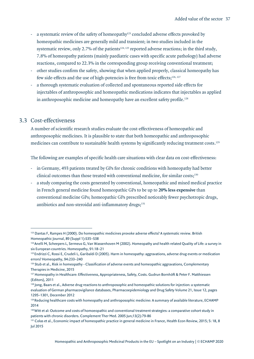- a systematic review of the safety of homeopathy<sup>123</sup> concluded adverse effects provoked by homeopathic medicines are generally mild and transient; in two studies included in the systematic review, only 2.7% of the patients<sup>124, 125</sup> reported adverse reactions; in the third study, 7.8% of homeopathy patients (mainly paediatric cases with specific acute pathology) had adverse reactions, compared to 22.3% in the corresponding group receiving conventional treatment;
- other studies confirm the safety, showing that when applied properly, classical homeopathy has few side-effects and the use of high-potencies is free from toxic effects;<sup>126, 127</sup>
- a thorough systematic evaluation of collected and spontaneous reported side effects for injectables of anthroposophic and homeopathic medications indicates that injectables as applied in anthroposophic medicine and homeopathy have an excellent safety profile. $^{128}$

# <span id="page-36-0"></span>3.3 Cost-effectiveness

 $\overline{a}$ 

A number of scientific research studies evaluate the cost-effectiveness of homeopathic and anthroposophic medicines. It is plausible to state that both homeopathic and anthroposophic medicines can contribute to sustainable health systems by significantly reducing treatment costs.<sup>129</sup>

The following are examples of specific health care situations with clear data on cost-effectiveness:

- in Germany, 493 patients treated by GPs for chronic conditions with homeopathy had better clinical outcomes than those treated with conventional medicine, for similar costs;<sup>130</sup>
- a study comparing the costs generated by conventional, homeopathic and mixed medical practice in French general medicine found homeopathic GPs to be up to **20% less expensive** than conventional medicine GPs; homeopathic GPs prescribed noticeably fewer psychotropic drugs, antibiotics and non-steroidal anti-inflammatory drugs;<sup>131</sup>

<sup>123</sup> Dantas F, Rampes H (2000). Do homeopathic medicines provoke adverse effects? A systematic review. British Homeopathic Journal, 89 (Suppl 1):S35–S38

<sup>&</sup>lt;sup>124</sup> Anelli M, Scheepers L, Sermeus G, Van Wassenhoven M (2002). Homeopathy and health related Quality of Life: a survey in six European countries. Homeopathy, 91:18–21

<sup>125</sup> Endrizzi C, Rossi E, Crudeli L, Garibaldi D (2005). Harm in homeopathy: aggravations, adverse drug events or medication errors? Homeopathy, 94:233–240

 $126$  Stub et al., Risk in homeopathy - Classification of adverse events and homeopathic aggravations, Complementary Therapies in Medicine, 2015

<sup>127</sup> Homeopathy in Healthcare: Effectiveness, Appropriateness, Safety, Costs. Gudrun Bornhöft & Peter F. Matthiessen (Editors), 2011

<sup>128</sup> Jong, Baars et al., Adverse drug reactions to anthroposophic and homeopathic solutions for injection: a systematic evaluation of German pharmacovigilance databases, Pharmacoepidemiology and Drug Safety [Volume 21,](http://onlinelibrary.wiley.com/doi/10.1002/pds.v21.12/issuetoc) Issue 12, pages 1295–1301, December 2012

<sup>129</sup> Reducing healthcare costs with homeopathy and anthroposophic medicine: A summary of available literature, ECHAMP 2014

<sup>&</sup>lt;sup>130</sup> Witt et al: Outcome and costs of homoeopathic and conventional treatment strategies: a comparative cohort study in patients with chronic disorders[. Complement Ther Med.](http://www.ncbi.nlm.nih.gov/pubmed/16036164) 2005 Jun;13(2):79-86

<sup>&</sup>lt;sup>131</sup> Colas et al., Economic impact of homeopathic practice in general medicine in France, Health Econ Review, 2015; 5: 18, 8 Jul 2015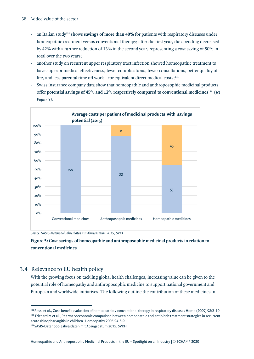- an Italian study<sup>132</sup> shows savings of more than 40% for patients with respiratory diseases under homeopathic treatment versus conventional therapy; after the first year, the spending decreased by 42% with a further reduction of 13% in the second year, representing a cost saving of 50% in total over the two years;
- another study on recurrent upper respiratory tract infection showed homeopathic treatment to have superior medical effectiveness, fewer complications, fewer consultations, better quality of life, and less parental time off work – for equivalent direct medical costs;<sup>133</sup>
- Swiss insurance company data show that homeopathic and anthroposophic medicinal products offer **potential savings of 45% and 12% respectively compared to conventional medicines**<sup>134</sup> (*see Figure 5)*.



*Source: SASIS-Datenpool Jahresdaten mit Abzugsdatum 2015, SVKH*

<span id="page-37-0"></span>**Figure 5: Cost savings of homeopathic and anthroposophic medicinal products in relation to conventional medicines**

# <span id="page-37-1"></span>3.4 Relevance to EU health policy

<u>.</u>

With the growing focus on tackling global health challenges, increasing value can be given to the potential role of homeopathy and anthroposophic medicine to support national government and European and worldwide initiatives. The following outline the contribution of these medicines in

<sup>&</sup>lt;sup>132</sup> Rossi et al., Cost-benefit evaluation of homeopathic v conventional therapy in respiratory diseases Homp (2009) 98:2-10 <sup>133</sup> Trichard M et al., Pharmacoeconomic comparison between homeopathic and antibiotic treatment strategies in recurrent acute rhinopharyngitis in children. Homeopathy 2005:94:3-9

<sup>134</sup> SASIS-Datenpool Jahresdaten mit Abzugsdatum 2015, SVKH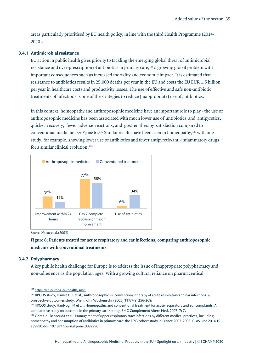areas particularly prioritised by EU health policy, in line with the third Health Programme (2014- 2020).

#### <span id="page-38-0"></span>**3.4.1 Antimicrobial resistance**

EU action in public health gives priority to tackling the emerging global threat of antimicrobial resistance and over-prescription of antibiotics in primary care,<sup>135</sup> a growing global problem with important consequences such as increased mortality and economic impact. It is estimated that resistance to antibiotics results in 25,000 deaths per year in the EU and costs the EU EUR 1.5 billion per year in healthcare costs and productivity losses. The use of effective and safe non-antibiotic treatments of infections is one of the strategies to reduce (inappropriate) use of antibiotics.

In this context, homeopathy and anthroposophic medicine have an important role to play - the use of anthroposophic medicine has been associated with much lower use of antibiotics and antipyretics, quicker recovery, fewer adverse reactions, and greater therapy satisfaction compared to conventional medicine (*see Figure 6*). <sup>136</sup> Similar results have been seen in homeopathy, <sup>137</sup> with one study, for example, showing lower use of antibiotics and fewer antipyretic/anti-inflammatory drugs for a similar clinical evolution. 138



*Source: Hamre et al.(2005)*

<span id="page-38-1"></span>**Figure 6: Patients treated for acute respiratory and ear infections, comparing anthroposophic medicine with conventional treatments** 

## <span id="page-38-2"></span>**3.4.2 Polypharmacy**

 $\overline{a}$ 

A key public health challenge for Europe is to address the issue of inappropriate polypharmacy and non-adherence as the population ages. With a growing cultural reliance on pharmaceutical

<sup>135</sup> <https://ec.europa.eu/health/amr/>

<sup>136</sup> IIPCOS study, Hamre H.J. et al., Anthroposophic vs. conventional therapy of acute respiratory and ear infections: a prospective outcomes study. Wien. Klin Wochenschr (2005) 117/7-8: 256-268;

<sup>137</sup> IIPCOS study, Haidvogl, M et al.: Homeopathic and conventional treatment for acute respiratory and ear complaints: A comparative study on outcome in the primary care setting, BMC Complement Altern Med. 2007; 7: 7.

<sup>&</sup>lt;sup>138</sup> Grimaldi-Bensouda et al., Management of upper respiratory tract infections by different medical practices, including homeopathy and consumption of antibiotics in primary care: the EPI3 cohort study in France 2007-2008. PLoS One 2014 19; e89990.doi: 10.1371/journal.pone.0089990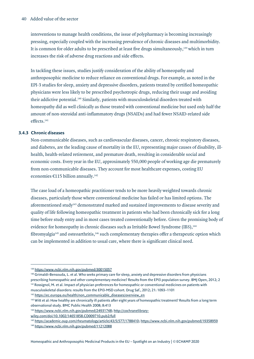<span id="page-39-1"></span>interventions to manage health conditions, the issue of polypharmacy is becoming increasingly pressing, especially coupled with the increasing prevalence of chronic diseases and multimorbidity. It is common for older adults to be prescribed at least five drugs simultaneously,<sup>139</sup> which in turn increases the risk of adverse drug reactions and side effects.

In tackling these issues, studies justify consideration of the ability of homeopathy and anthroposophic medicine to reduce reliance on conventional drugs. For example, as noted in the EPI-3 studies for sleep, anxiety and depressive disorders, patients treated by certified homeopathic physicians were less likely to be prescribed psychotropic drugs, reducing their usage and avoiding their addictive potential. <sup>140</sup> Similarly, patients with musculoskeletal disorders treated with homeopathy did as well clinically as those treated with conventional medicine but used only half the amount of non-steroidal anti-inflammatory drugs (NSAIDs) and had fewer NSAID-related side effects. 141

## <span id="page-39-0"></span>**3.4.3 Chronic diseases**

 $\overline{a}$ 

Non-communicable diseases, such as cardiovascular diseases, cancer, chronic respiratory diseases, and diabetes, are the leading cause of mortality in the EU, representing major causes of disability, illhealth, health-related retirement, and premature death, resulting in considerable social and economic costs. Every year in the EU, approximately 550,000 people of working age die prematurely from non-communicable diseases. They account for most healthcare expenses, costing EU economies €115 billion annually.<sup>142</sup>

The case load of a homeopathic practitioner tends to be more heavily weighted towards chronic diseases, particularly those where conventional medicine has failed or has limited options. The aforementioned study<sup>143</sup> demonstrated marked and sustained improvements to disease severity and quality of life following homeopathic treatment in patients who had been chronically sick for a long time before study entry and in most cases treated conventionally before. Given the promising body of evidence for homeopathy in chronic diseases such as Irritable Bowel Syndrome (IBS),<sup>144</sup> fibromyalgia<sup>145</sup> and osteoarthritis,<sup>146</sup> such complementary therapies offer a therapeutic option which can be implemented in addition to usual care, where there is significant clinical need.

[wiley.com/doi/10.1002/14651858.CD009710.pub2/full](http://cochranelibrary-wiley.com/doi/10.1002/14651858.CD009710.pub2/full) 

<sup>139</sup> <https://www.ncbi.nlm.nih.gov/pubmed/30015057>

<sup>140</sup> Grimaldi-Bensouda, L. et al. Who seeks primary care for sleep, anxiety and depressive disorders from physicians prescribing homeopathic and other complementary medicine? Results from the EPI3 population survey. BMJ Open, 2012; 2 <sup>141</sup> Rossignol, M. et al. Impact of physician preferences for homeopathic or conventional medicines on patients with musculoskeletal disorders: results from the EPI3-MSD cohort. Drug Saf., 2012; 21: 1093–1101

<sup>142</sup> [https://ec.europa.eu/health/non\\_communicable\\_diseases/overview\\_en](https://ec.europa.eu/health/non_communicable_diseases/overview_en)

<sup>&</sup>lt;sup>143</sup> Witt et al: How healthy are chronically ill patients after eight years of homeopathic treatment? Results from a long term observational study. BMC Public Health 2008; 8:413

<sup>144</sup> [https://www.ncbi.nlm.nih.gov/pubmed/24931748;](https://www.ncbi.nlm.nih.gov/pubmed/24931748) [http://cochranelibrary-](http://cochranelibrary-wiley.com/doi/10.1002/14651858.CD009710.pub2/full)

<sup>&</sup>lt;sup>145</sup> [https://academic.oup.com/rheumatology/article/43/5/577/1788410;](https://academic.oup.com/rheumatology/article/43/5/577/1788410) https://www.ncbi.nlm.nih.gov/pubmed/19358959

<sup>146</sup> <https://www.ncbi.nlm.nih.gov/pubmed/11212088>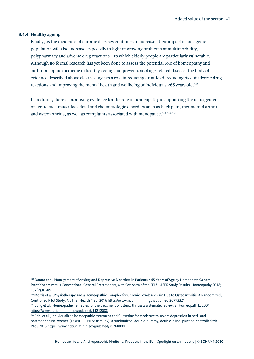#### **3.4.4 Healthy ageing**

<u>.</u>

Finally, as the incidence of chronic diseases continues to increase, their impact on an ageing population will also increase, especially in light of growing problems of multimorbidity, polypharmacy and adverse drug reactions – to which elderly people are particularly vulnerable. Although no formal research has yet been done to assess the potential role of homeopathy and anthroposophic medicine in healthy ageing and prevention of age-related disease, the body of evidence described above clearly suggests a role in reducing drug-load, reducing risk of adverse drug reactions and improving the mental health and wellbeing of individuals  $\geq$ 65 years old.<sup>147</sup>

In addition, there is promising evidence for the role of homeopathy in supporting the management of age-related musculoskeletal and rheumatologic disorders such as back pain, rheumatoid arthritis and osteoarthritis, as well as complaints associated with menopause.<sup>148, 149, 150</sup>

<sup>147</sup> Danno et al. Management of Anxiety and Depressive Disorders in Patients ≥ 65 Years of Age by Homeopath General Practitioners versus Conventional General Practitioners, with Overview of the EPI3-LASER Study Results. Homeopathy 2018; 107(2):81-89

<sup>148</sup>Morris et al.,Physiotherapy and a Homeopathic Complex for Chronic Low-back Pain Due to Osteoarthritis: A Randomized, Controlled Pilot Study. Alt Ther Health Med. 201[6 https://www.ncbi.nlm.nih.gov/pubmed/26773321](https://www.ncbi.nlm.nih.gov/pubmed/26773321)

<sup>&</sup>lt;sup>149</sup> Long et al., Homeopathic remedies for the treatment of osteoarthritis: a systematic review. Br Homeopath J., 2001. <https://www.ncbi.nlm.nih.gov/pubmed/11212088>

<sup>150</sup> Edel et al., Individualized homeopathic treatment and fluoxetine for moderate to severe depression in peri- and postmenopausal women (HOMDEP-MENOP study): a randomized, double-dummy, double-blind, placebo-controlled trial. PLoS 201[5 https://www.ncbi.nlm.nih.gov/pubmed/25768800](https://www.ncbi.nlm.nih.gov/pubmed/25768800)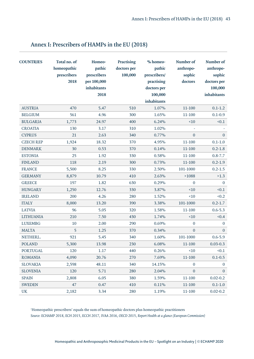<span id="page-42-1"></span><span id="page-42-0"></span>

| Annex I: Prescribers of HAMPs in the EU (2018) |  |
|------------------------------------------------|--|
|------------------------------------------------|--|

| <b>COUNTRIES</b> | Total no. of<br>homeopathic<br>prescribers<br>2018 | Homeo-<br>pathic<br>prescribers<br>per 100,000<br>inhabitants<br>2018 | Practising<br>doctors per<br>100,000 | % homeo-<br>pathic<br>prescribers/<br>practising<br>doctors per<br>100,000<br>inhabitants | Number of<br>anthropo-<br>sophic<br>doctors | Number of<br>anthropo-<br>sophic<br>doctors per<br>100,000<br>inhabitants |
|------------------|----------------------------------------------------|-----------------------------------------------------------------------|--------------------------------------|-------------------------------------------------------------------------------------------|---------------------------------------------|---------------------------------------------------------------------------|
| <b>AUSTRIA</b>   | 470                                                | 5.47                                                                  | 510                                  | 1.07%                                                                                     | 11-100                                      | $0.1 - 1.2$                                                               |
| <b>BELGIUM</b>   | 561                                                | 4.96                                                                  | 300                                  | 1.65%                                                                                     | 11-100                                      | $0.1 - 0.9$                                                               |
| <b>BULGARIA</b>  | 1,773                                              | 24.97                                                                 | 400                                  | 6.24%                                                                                     | ~10                                         | < 0.1                                                                     |
| <b>CROATIA</b>   | 130                                                | 3.17                                                                  | 310                                  | 1.02%                                                                                     | ÷,                                          |                                                                           |
| <b>CYPRUS</b>    | 21                                                 | 2.63                                                                  | 340                                  | 0.77%                                                                                     | $\mathbf{0}$                                | $\mathbf{0}$                                                              |
| <b>CZECH REP</b> | 1,924                                              | 18.32                                                                 | 370                                  | 4.95%                                                                                     | 11-100                                      | $0.1 - 1.0$                                                               |
| <b>DENMARK</b>   | 30                                                 | 0.53                                                                  | 370                                  | 0.14%                                                                                     | 11-100                                      | $0.2 - 1.8$                                                               |
| <b>ESTONIA</b>   | 25                                                 | 1.92                                                                  | 330                                  | 0.58%                                                                                     | 11-100                                      | $0.8 - 7.7$                                                               |
| <b>FINLAND</b>   | 118                                                | 2.19                                                                  | 300                                  | 0.73%                                                                                     | 11-100                                      | $0.2 - 1.9$                                                               |
| <b>FRANCE</b>    | 5,500                                              | 8.25                                                                  | 330                                  | 2.50%                                                                                     | 101-1000                                    | $0.2 - 1.5$                                                               |
| <b>GERMANY</b>   | 8,879                                              | 10.79                                                                 | 410                                  | 2.63%                                                                                     | >1088                                       | >1.3                                                                      |
| <b>GREECE</b>    | 197                                                | 1.82                                                                  | 630                                  | 0.29%                                                                                     | $\mathbf{0}$                                | $\bf{0}$                                                                  |
| <b>HUNGARY</b>   | 1,250                                              | 12.76                                                                 | 330                                  | 3.87%                                                                                     | <10                                         | < 0.1                                                                     |
| <b>IRELAND</b>   | 200                                                | 4.26                                                                  | 280                                  | 1.52%                                                                                     | <10                                         | &0.2                                                                      |
| <b>ITALY</b>     | 8,000                                              | 13.20                                                                 | 390                                  | 3.38%                                                                                     | 101-1000                                    | $0.2 - 1.7$                                                               |
| <b>LATVIA</b>    | 96                                                 | 5.05                                                                  | 320                                  | 1.58%                                                                                     | 11-100                                      | $0.6 - 5.3$                                                               |
| <b>LITHUANIA</b> | 210                                                | 7.50                                                                  | 430                                  | 1.74%                                                                                     | <10                                         | < 0.4                                                                     |
| <b>LUXEMBG</b>   | 10                                                 | 2.00                                                                  | 290                                  | 0.69%                                                                                     | $\mathbf{0}$                                | $\boldsymbol{0}$                                                          |
| <b>MALTA</b>     | 5                                                  | 1.25                                                                  | 370                                  | 0.34%                                                                                     | $\mathbf{0}$                                | $\mathbf{0}$                                                              |
| NETHERL.         | 921                                                | 5.45                                                                  | 340                                  | 1.60%                                                                                     | 101-1000                                    | $0.6 - 5.9$                                                               |
| <b>POLAND</b>    | 5,300                                              | 13.98                                                                 | 230                                  | 6.08%                                                                                     | 11-100                                      | $0.03 - 0.3$                                                              |
| PORTUGAL         | 120                                                | 1.17                                                                  | 440                                  | 0.26%                                                                                     | <10                                         | < 0.1                                                                     |
| <b>ROMANIA</b>   | 4,090                                              | 20.76                                                                 | 270                                  | 7.69%                                                                                     | 11-100                                      | $0.1 - 0.5$                                                               |
| <b>SLOVAKIA</b>  | 2,598                                              | 48.11                                                                 | 340                                  | 14.15%                                                                                    | $\mathbf{0}$                                | $\mathbf{0}$                                                              |
| <b>SLOVENIA</b>  | 120                                                | 5.71                                                                  | 280                                  | 2.04%                                                                                     | $\mathbf{0}$                                | $\mathbf{0}$                                                              |
| <b>SPAIN</b>     | 2,808                                              | 6.05                                                                  | 380                                  | 1.59%                                                                                     | 11-100                                      | $0.02 - 0.2$                                                              |
| <b>SWEDEN</b>    | 47                                                 | 0.47                                                                  | 410                                  | 0.11%                                                                                     | $11 - 100$                                  | $0.1 - 1.0$                                                               |
| UK               | 2,182                                              | 3.34                                                                  | 280                                  | 1.19%                                                                                     | 11-100                                      | $0.02 - 0.2$                                                              |

'Homeopathic prescribers' equals the sum of homeopathic doctors plus homeopathic practitioners *Source: ECHAMP 2018, ECH 2015, ECCH 2017, IVAA 2016, OECD 2015, Report Health at a glance (European Commission)*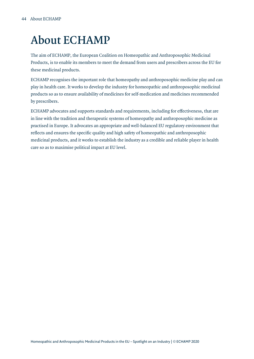# **About ECHAMP**

The aim of ECHAMP, the European Coalition on Homeopathic and Anthroposophic Medicinal Products, is to enable its members to meet the demand from users and prescribers across the EU for these medicinal products.

ECHAMP recognises the important role that homeopathy and anthroposophic medicine play and can play in health care. It works to develop the industry for homeopathic and anthroposophic medicinal products so as to ensure availability of medicines for self-medication and medicines recommended by prescribers.

ECHAMP advocates and supports standards and requirements, including for effectiveness, that are in line with the tradition and therapeutic systems of homeopathy and anthroposophic medicine as practised in Europe. It advocates an appropriate and well-balanced EU regulatory environment that reflects and ensures the specific quality and high safety of homeopathic and anthroposophic medicinal products, and it works to establish the industry as a credible and reliable player in health care so as to maximise political impact at EU level.